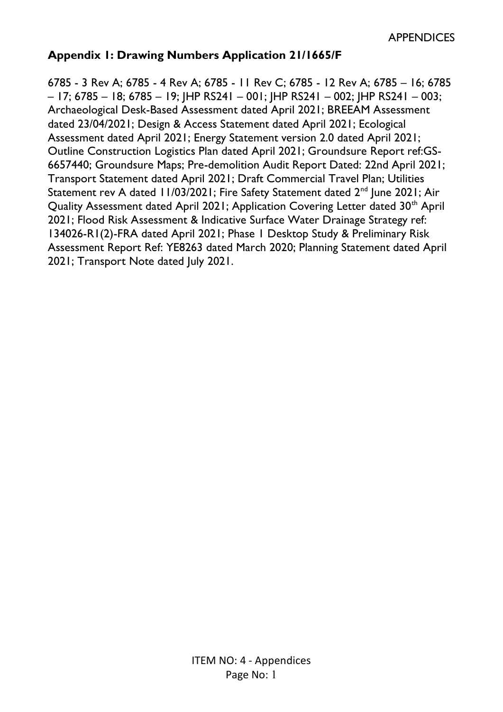#### **Appendix 1: Drawing Numbers Application 21/1665/F**

6785 - 3 Rev A; 6785 - 4 Rev A; 6785 - 11 Rev C; 6785 - 12 Rev A; 6785 – 16; 6785  $-17$ ; 6785 – 18; 6785 – 19; HP RS241 – 001; HP RS241 – 002; HP RS241 – 003; Archaeological Desk-Based Assessment dated April 2021; BREEAM Assessment dated 23/04/2021; Design & Access Statement dated April 2021; Ecological Assessment dated April 2021; Energy Statement version 2.0 dated April 2021; Outline Construction Logistics Plan dated April 2021; Groundsure Report ref:GS-6657440; Groundsure Maps; Pre-demolition Audit Report Dated: 22nd April 2021; Transport Statement dated April 2021; Draft Commercial Travel Plan; Utilities Statement rev A dated 11/03/2021; Fire Safety Statement dated 2<sup>nd</sup> June 2021; Air Quality Assessment dated April 2021; Application Covering Letter dated 30<sup>th</sup> April 2021; Flood Risk Assessment & Indicative Surface Water Drainage Strategy ref: 134026-R1(2)-FRA dated April 2021; Phase 1 Desktop Study & Preliminary Risk Assessment Report Ref: YE8263 dated March 2020; Planning Statement dated April 2021; Transport Note dated July 2021.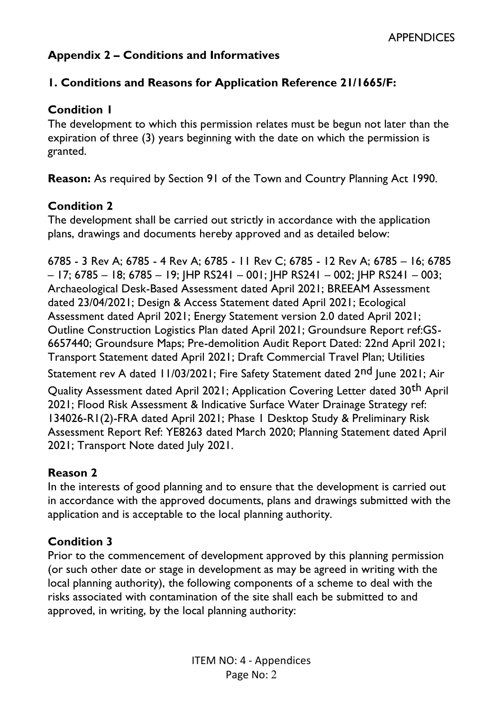# **Appendix 2 – Conditions and Informatives**

### **1. Conditions and Reasons for Application Reference 21/1665/F:**

### **Condition 1**

The development to which this permission relates must be begun not later than the expiration of three (3) years beginning with the date on which the permission is granted.

**Reason:** As required by Section 91 of the Town and Country Planning Act 1990.

### **Condition 2**

The development shall be carried out strictly in accordance with the application plans, drawings and documents hereby approved and as detailed below:

6785 - 3 Rev A; 6785 - 4 Rev A; 6785 - 11 Rev C; 6785 - 12 Rev A; 6785 – 16; 6785 – 17; 6785 – 18; 6785 – 19; JHP RS241 – 001; JHP RS241 – 002; JHP RS241 – 003; Archaeological Desk-Based Assessment dated April 2021; BREEAM Assessment dated 23/04/2021; Design & Access Statement dated April 2021; Ecological Assessment dated April 2021; Energy Statement version 2.0 dated April 2021; Outline Construction Logistics Plan dated April 2021; Groundsure Report ref:GS-6657440; Groundsure Maps; Pre-demolition Audit Report Dated: 22nd April 2021; Transport Statement dated April 2021; Draft Commercial Travel Plan; Utilities Statement rev A dated 11/03/2021; Fire Safety Statement dated 2<sup>nd</sup> June 2021; Air Quality Assessment dated April 2021; Application Covering Letter dated 30<sup>th</sup> April 2021; Flood Risk Assessment & Indicative Surface Water Drainage Strategy ref: 134026-R1(2)-FRA dated April 2021; Phase 1 Desktop Study & Preliminary Risk Assessment Report Ref: YE8263 dated March 2020; Planning Statement dated April 2021; Transport Note dated July 2021.

## **Reason 2**

In the interests of good planning and to ensure that the development is carried out in accordance with the approved documents, plans and drawings submitted with the application and is acceptable to the local planning authority.

## **Condition 3**

Prior to the commencement of development approved by this planning permission (or such other date or stage in development as may be agreed in writing with the local planning authority), the following components of a scheme to deal with the risks associated with contamination of the site shall each be submitted to and approved, in writing, by the local planning authority: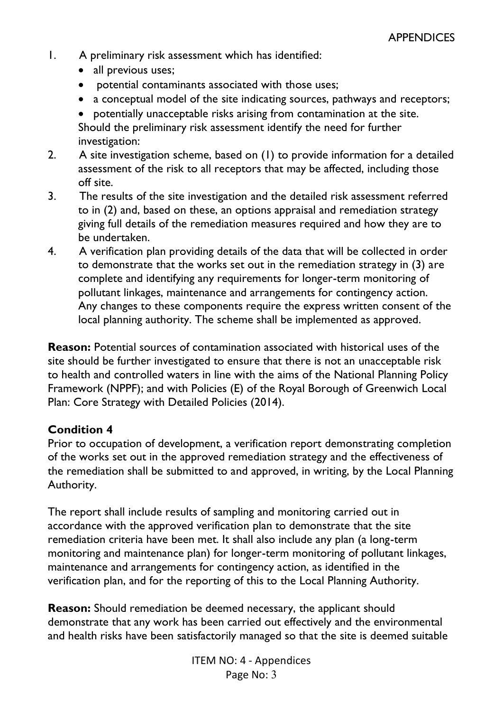- 1. A preliminary risk assessment which has identified:
	- all previous uses;
	- potential contaminants associated with those uses;
	- a conceptual model of the site indicating sources, pathways and receptors;
	- potentially unacceptable risks arising from contamination at the site. Should the preliminary risk assessment identify the need for further investigation:
- 2. A site investigation scheme, based on (1) to provide information for a detailed assessment of the risk to all receptors that may be affected, including those off site.
- 3. The results of the site investigation and the detailed risk assessment referred to in (2) and, based on these, an options appraisal and remediation strategy giving full details of the remediation measures required and how they are to be undertaken.
- 4. A verification plan providing details of the data that will be collected in order to demonstrate that the works set out in the remediation strategy in (3) are complete and identifying any requirements for longer-term monitoring of pollutant linkages, maintenance and arrangements for contingency action. Any changes to these components require the express written consent of the local planning authority. The scheme shall be implemented as approved.

**Reason:** Potential sources of contamination associated with historical uses of the site should be further investigated to ensure that there is not an unacceptable risk to health and controlled waters in line with the aims of the National Planning Policy Framework (NPPF); and with Policies (E) of the Royal Borough of Greenwich Local Plan: Core Strategy with Detailed Policies (2014).

## **Condition 4**

Prior to occupation of development, a verification report demonstrating completion of the works set out in the approved remediation strategy and the effectiveness of the remediation shall be submitted to and approved, in writing, by the Local Planning Authority.

The report shall include results of sampling and monitoring carried out in accordance with the approved verification plan to demonstrate that the site remediation criteria have been met. It shall also include any plan (a long-term monitoring and maintenance plan) for longer-term monitoring of pollutant linkages, maintenance and arrangements for contingency action, as identified in the verification plan, and for the reporting of this to the Local Planning Authority.

**Reason:** Should remediation be deemed necessary, the applicant should demonstrate that any work has been carried out effectively and the environmental and health risks have been satisfactorily managed so that the site is deemed suitable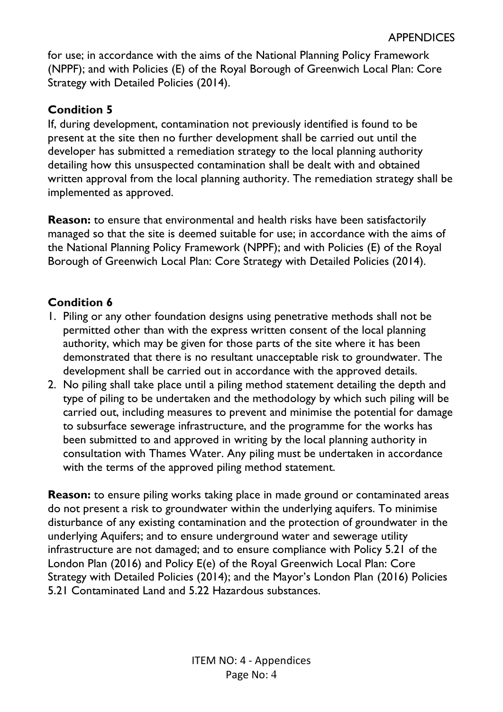for use; in accordance with the aims of the National Planning Policy Framework (NPPF); and with Policies (E) of the Royal Borough of Greenwich Local Plan: Core Strategy with Detailed Policies (2014).

## **Condition 5**

If, during development, contamination not previously identified is found to be present at the site then no further development shall be carried out until the developer has submitted a remediation strategy to the local planning authority detailing how this unsuspected contamination shall be dealt with and obtained written approval from the local planning authority. The remediation strategy shall be implemented as approved.

**Reason:** to ensure that environmental and health risks have been satisfactorily managed so that the site is deemed suitable for use; in accordance with the aims of the National Planning Policy Framework (NPPF); and with Policies (E) of the Royal Borough of Greenwich Local Plan: Core Strategy with Detailed Policies (2014).

## **Condition 6**

- 1. Piling or any other foundation designs using penetrative methods shall not be permitted other than with the express written consent of the local planning authority, which may be given for those parts of the site where it has been demonstrated that there is no resultant unacceptable risk to groundwater. The development shall be carried out in accordance with the approved details.
- 2. No piling shall take place until a piling method statement detailing the depth and type of piling to be undertaken and the methodology by which such piling will be carried out, including measures to prevent and minimise the potential for damage to subsurface sewerage infrastructure, and the programme for the works has been submitted to and approved in writing by the local planning authority in consultation with Thames Water. Any piling must be undertaken in accordance with the terms of the approved piling method statement.

**Reason:** to ensure piling works taking place in made ground or contaminated areas do not present a risk to groundwater within the underlying aquifers. To minimise disturbance of any existing contamination and the protection of groundwater in the underlying Aquifers; and to ensure underground water and sewerage utility infrastructure are not damaged; and to ensure compliance with Policy 5.21 of the London Plan (2016) and Policy E(e) of the Royal Greenwich Local Plan: Core Strategy with Detailed Policies (2014); and the Mayor's London Plan (2016) Policies 5.21 Contaminated Land and 5.22 Hazardous substances.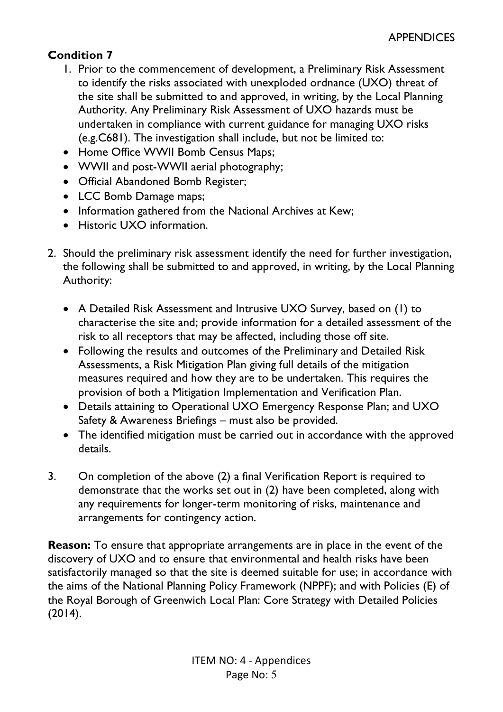# **Condition 7**

- 1. Prior to the commencement of development, a Preliminary Risk Assessment to identify the risks associated with unexploded ordnance (UXO) threat of the site shall be submitted to and approved, in writing, by the Local Planning Authority. Any Preliminary Risk Assessment of UXO hazards must be undertaken in compliance with current guidance for managing UXO risks (e.g.C681). The investigation shall include, but not be limited to:
- Home Office WWII Bomb Census Maps;
- WWII and post-WWII aerial photography;
- Official Abandoned Bomb Register;
- LCC Bomb Damage maps;
- Information gathered from the National Archives at Kew;
- Historic UXO information.
- 2. Should the preliminary risk assessment identify the need for further investigation, the following shall be submitted to and approved, in writing, by the Local Planning Authority:
	- A Detailed Risk Assessment and Intrusive UXO Survey, based on (1) to characterise the site and; provide information for a detailed assessment of the risk to all receptors that may be affected, including those off site.
	- Following the results and outcomes of the Preliminary and Detailed Risk Assessments, a Risk Mitigation Plan giving full details of the mitigation measures required and how they are to be undertaken. This requires the provision of both a Mitigation Implementation and Verification Plan.
	- Details attaining to Operational UXO Emergency Response Plan; and UXO Safety & Awareness Briefings – must also be provided.
	- The identified mitigation must be carried out in accordance with the approved details.
- 3. On completion of the above (2) a final Verification Report is required to demonstrate that the works set out in (2) have been completed, along with any requirements for longer-term monitoring of risks, maintenance and arrangements for contingency action.

**Reason:** To ensure that appropriate arrangements are in place in the event of the discovery of UXO and to ensure that environmental and health risks have been satisfactorily managed so that the site is deemed suitable for use; in accordance with the aims of the National Planning Policy Framework (NPPF); and with Policies (E) of the Royal Borough of Greenwich Local Plan: Core Strategy with Detailed Policies (2014).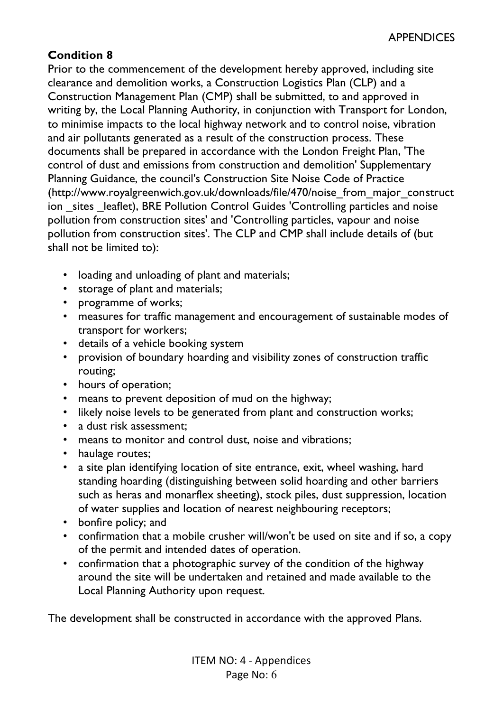# **Condition 8**

Prior to the commencement of the development hereby approved, including site clearance and demolition works, a Construction Logistics Plan (CLP) and a Construction Management Plan (CMP) shall be submitted, to and approved in writing by, the Local Planning Authority, in conjunction with Transport for London, to minimise impacts to the local highway network and to control noise, vibration and air pollutants generated as a result of the construction process. These documents shall be prepared in accordance with the London Freight Plan, 'The control of dust and emissions from construction and demolition' Supplementary Planning Guidance, the council's Construction Site Noise Code of Practice (http://www.royalgreenwich.gov.uk/downloads/file/470/noise\_from\_major\_construct ion sites leaflet), BRE Pollution Control Guides 'Controlling particles and noise pollution from construction sites' and 'Controlling particles, vapour and noise pollution from construction sites'. The CLP and CMP shall include details of (but shall not be limited to):

- loading and unloading of plant and materials;
- storage of plant and materials;
- programme of works;
- measures for traffic management and encouragement of sustainable modes of transport for workers;
- details of a vehicle booking system
- provision of boundary hoarding and visibility zones of construction traffic routing;
- hours of operation;
- means to prevent deposition of mud on the highway;
- likely noise levels to be generated from plant and construction works;
- a dust risk assessment:
- means to monitor and control dust, noise and vibrations;
- haulage routes;
- a site plan identifying location of site entrance, exit, wheel washing, hard standing hoarding (distinguishing between solid hoarding and other barriers such as heras and monarflex sheeting), stock piles, dust suppression, location of water supplies and location of nearest neighbouring receptors;
- bonfire policy; and
- confirmation that a mobile crusher will/won't be used on site and if so, a copy of the permit and intended dates of operation.
- confirmation that a photographic survey of the condition of the highway around the site will be undertaken and retained and made available to the Local Planning Authority upon request.

The development shall be constructed in accordance with the approved Plans.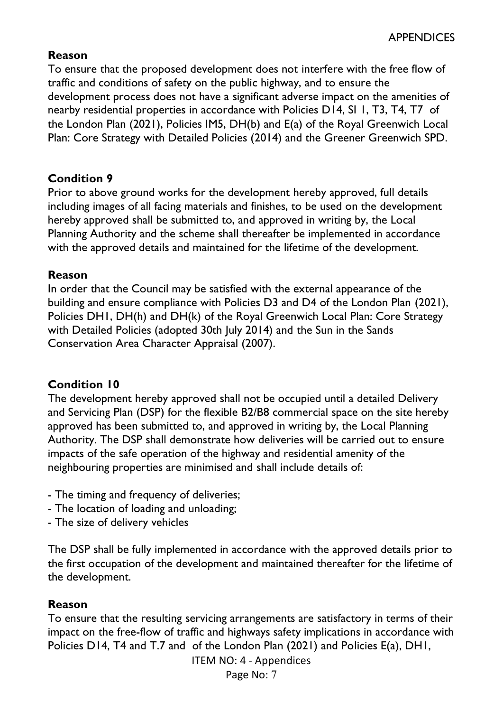### **Reason**

To ensure that the proposed development does not interfere with the free flow of traffic and conditions of safety on the public highway, and to ensure the development process does not have a significant adverse impact on the amenities of nearby residential properties in accordance with Policies D14, SI 1, T3, T4, T7 of the London Plan (2021), Policies IM5, DH(b) and E(a) of the Royal Greenwich Local Plan: Core Strategy with Detailed Policies (2014) and the Greener Greenwich SPD.

### **Condition 9**

Prior to above ground works for the development hereby approved, full details including images of all facing materials and finishes, to be used on the development hereby approved shall be submitted to, and approved in writing by, the Local Planning Authority and the scheme shall thereafter be implemented in accordance with the approved details and maintained for the lifetime of the development.

#### **Reason**

In order that the Council may be satisfied with the external appearance of the building and ensure compliance with Policies D3 and D4 of the London Plan (2021), Policies DH1, DH(h) and DH(k) of the Royal Greenwich Local Plan: Core Strategy with Detailed Policies (adopted 30th July 2014) and the Sun in the Sands Conservation Area Character Appraisal (2007).

## **Condition 10**

The development hereby approved shall not be occupied until a detailed Delivery and Servicing Plan (DSP) for the flexible B2/B8 commercial space on the site hereby approved has been submitted to, and approved in writing by, the Local Planning Authority. The DSP shall demonstrate how deliveries will be carried out to ensure impacts of the safe operation of the highway and residential amenity of the neighbouring properties are minimised and shall include details of:

- The timing and frequency of deliveries;
- The location of loading and unloading;
- The size of delivery vehicles

The DSP shall be fully implemented in accordance with the approved details prior to the first occupation of the development and maintained thereafter for the lifetime of the development.

## **Reason**

To ensure that the resulting servicing arrangements are satisfactory in terms of their impact on the free-flow of traffic and highways safety implications in accordance with Policies D14, T4 and T.7 and of the London Plan (2021) and Policies E(a), DH1,

ITEM NO: 4 - Appendices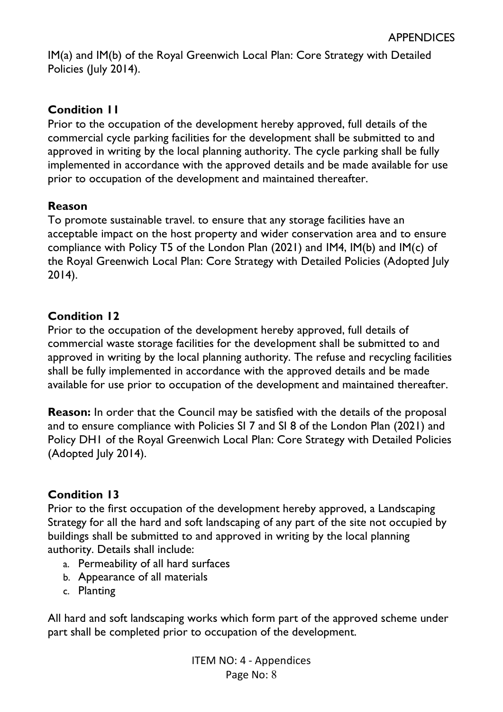IM(a) and IM(b) of the Royal Greenwich Local Plan: Core Strategy with Detailed Policies (July 2014).

### **Condition 11**

Prior to the occupation of the development hereby approved, full details of the commercial cycle parking facilities for the development shall be submitted to and approved in writing by the local planning authority. The cycle parking shall be fully implemented in accordance with the approved details and be made available for use prior to occupation of the development and maintained thereafter.

### **Reason**

To promote sustainable travel. to ensure that any storage facilities have an acceptable impact on the host property and wider conservation area and to ensure compliance with Policy T5 of the London Plan (2021) and IM4, IM(b) and IM(c) of the Royal Greenwich Local Plan: Core Strategy with Detailed Policies (Adopted July 2014).

#### **Condition 12**

Prior to the occupation of the development hereby approved, full details of commercial waste storage facilities for the development shall be submitted to and approved in writing by the local planning authority. The refuse and recycling facilities shall be fully implemented in accordance with the approved details and be made available for use prior to occupation of the development and maintained thereafter.

**Reason:** In order that the Council may be satisfied with the details of the proposal and to ensure compliance with Policies SI 7 and SI 8 of the London Plan (2021) and Policy DH1 of the Royal Greenwich Local Plan: Core Strategy with Detailed Policies (Adopted July 2014).

### **Condition 13**

Prior to the first occupation of the development hereby approved, a Landscaping Strategy for all the hard and soft landscaping of any part of the site not occupied by buildings shall be submitted to and approved in writing by the local planning authority. Details shall include:

- a. Permeability of all hard surfaces
- b. Appearance of all materials
- c. Planting

All hard and soft landscaping works which form part of the approved scheme under part shall be completed prior to occupation of the development.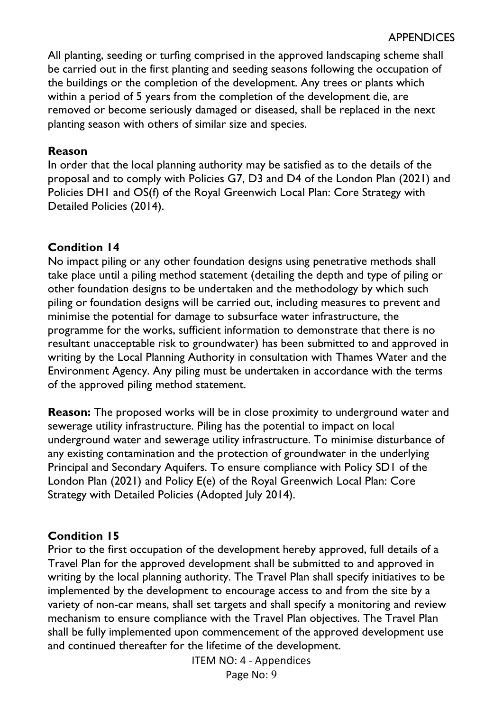All planting, seeding or turfing comprised in the approved landscaping scheme shall be carried out in the first planting and seeding seasons following the occupation of the buildings or the completion of the development. Any trees or plants which within a period of 5 years from the completion of the development die, are removed or become seriously damaged or diseased, shall be replaced in the next planting season with others of similar size and species.

#### **Reason**

In order that the local planning authority may be satisfied as to the details of the proposal and to comply with Policies G7, D3 and D4 of the London Plan (2021) and Policies DH1 and OS(f) of the Royal Greenwich Local Plan: Core Strategy with Detailed Policies (2014).

#### **Condition 14**

No impact piling or any other foundation designs using penetrative methods shall take place until a piling method statement (detailing the depth and type of piling or other foundation designs to be undertaken and the methodology by which such piling or foundation designs will be carried out, including measures to prevent and minimise the potential for damage to subsurface water infrastructure, the programme for the works, sufficient information to demonstrate that there is no resultant unacceptable risk to groundwater) has been submitted to and approved in writing by the Local Planning Authority in consultation with Thames Water and the Environment Agency. Any piling must be undertaken in accordance with the terms of the approved piling method statement.

**Reason:** The proposed works will be in close proximity to underground water and sewerage utility infrastructure. Piling has the potential to impact on local underground water and sewerage utility infrastructure. To minimise disturbance of any existing contamination and the protection of groundwater in the underlying Principal and Secondary Aquifers. To ensure compliance with Policy SD1 of the London Plan (2021) and Policy E(e) of the Royal Greenwich Local Plan: Core Strategy with Detailed Policies (Adopted July 2014).

#### **Condition 15**

Prior to the first occupation of the development hereby approved, full details of a Travel Plan for the approved development shall be submitted to and approved in writing by the local planning authority. The Travel Plan shall specify initiatives to be implemented by the development to encourage access to and from the site by a variety of non-car means, shall set targets and shall specify a monitoring and review mechanism to ensure compliance with the Travel Plan objectives. The Travel Plan shall be fully implemented upon commencement of the approved development use and continued thereafter for the lifetime of the development.

ITEM NO: 4 - Appendices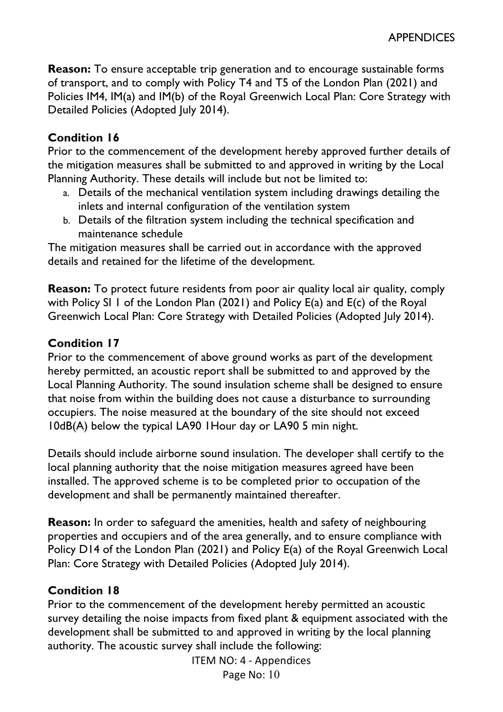**Reason:** To ensure acceptable trip generation and to encourage sustainable forms of transport, and to comply with Policy T4 and T5 of the London Plan (2021) and Policies IM4, IM(a) and IM(b) of the Royal Greenwich Local Plan: Core Strategy with Detailed Policies (Adopted July 2014).

### **Condition 16**

Prior to the commencement of the development hereby approved further details of the mitigation measures shall be submitted to and approved in writing by the Local Planning Authority. These details will include but not be limited to:

- a. Details of the mechanical ventilation system including drawings detailing the inlets and internal configuration of the ventilation system
- b. Details of the filtration system including the technical specification and maintenance schedule

The mitigation measures shall be carried out in accordance with the approved details and retained for the lifetime of the development.

**Reason:** To protect future residents from poor air quality local air quality, comply with Policy SI 1 of the London Plan (2021) and Policy E(a) and E(c) of the Royal Greenwich Local Plan: Core Strategy with Detailed Policies (Adopted July 2014).

### **Condition 17**

Prior to the commencement of above ground works as part of the development hereby permitted, an acoustic report shall be submitted to and approved by the Local Planning Authority. The sound insulation scheme shall be designed to ensure that noise from within the building does not cause a disturbance to surrounding occupiers. The noise measured at the boundary of the site should not exceed 10dB(A) below the typical LA90 1Hour day or LA90 5 min night.

Details should include airborne sound insulation. The developer shall certify to the local planning authority that the noise mitigation measures agreed have been installed. The approved scheme is to be completed prior to occupation of the development and shall be permanently maintained thereafter.

**Reason:** In order to safeguard the amenities, health and safety of neighbouring properties and occupiers and of the area generally, and to ensure compliance with Policy D14 of the London Plan (2021) and Policy E(a) of the Royal Greenwich Local Plan: Core Strategy with Detailed Policies (Adopted July 2014).

### **Condition 18**

Prior to the commencement of the development hereby permitted an acoustic survey detailing the noise impacts from fixed plant & equipment associated with the development shall be submitted to and approved in writing by the local planning authority. The acoustic survey shall include the following:

ITEM NO: 4 - Appendices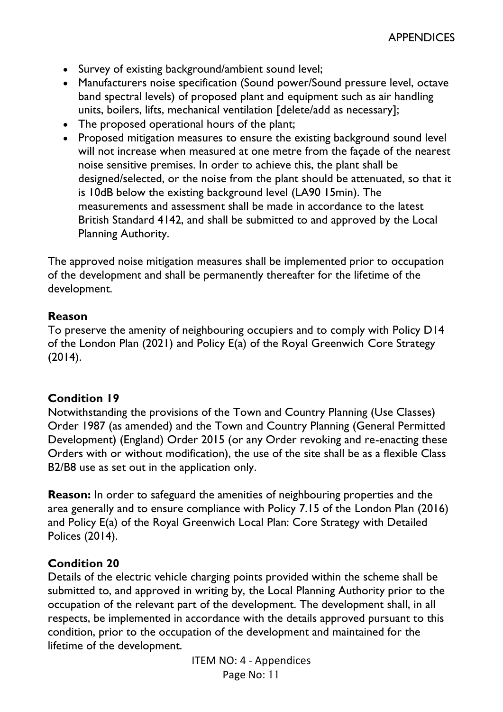- Survey of existing background/ambient sound level;
- Manufacturers noise specification (Sound power/Sound pressure level, octave band spectral levels) of proposed plant and equipment such as air handling units, boilers, lifts, mechanical ventilation [delete/add as necessary];
- The proposed operational hours of the plant;
- Proposed mitigation measures to ensure the existing background sound level will not increase when measured at one metre from the façade of the nearest noise sensitive premises. In order to achieve this, the plant shall be designed/selected, or the noise from the plant should be attenuated, so that it is 10dB below the existing background level (LA90 15min). The measurements and assessment shall be made in accordance to the latest British Standard 4142, and shall be submitted to and approved by the Local Planning Authority.

The approved noise mitigation measures shall be implemented prior to occupation of the development and shall be permanently thereafter for the lifetime of the development.

#### **Reason**

To preserve the amenity of neighbouring occupiers and to comply with Policy D14 of the London Plan (2021) and Policy E(a) of the Royal Greenwich Core Strategy (2014).

### **Condition 19**

Notwithstanding the provisions of the Town and Country Planning (Use Classes) Order 1987 (as amended) and the Town and Country Planning (General Permitted Development) (England) Order 2015 (or any Order revoking and re-enacting these Orders with or without modification), the use of the site shall be as a flexible Class B2/B8 use as set out in the application only.

**Reason:** In order to safeguard the amenities of neighbouring properties and the area generally and to ensure compliance with Policy 7.15 of the London Plan (2016) and Policy E(a) of the Royal Greenwich Local Plan: Core Strategy with Detailed Polices (2014).

### **Condition 20**

Details of the electric vehicle charging points provided within the scheme shall be submitted to, and approved in writing by, the Local Planning Authority prior to the occupation of the relevant part of the development. The development shall, in all respects, be implemented in accordance with the details approved pursuant to this condition, prior to the occupation of the development and maintained for the lifetime of the development.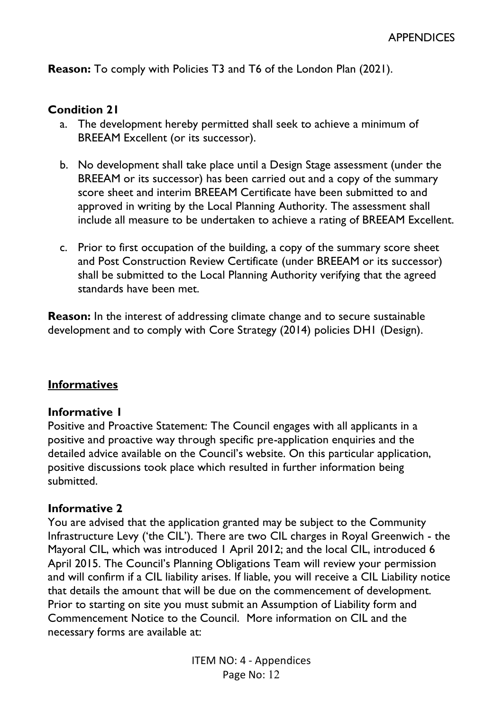**Reason:** To comply with Policies T3 and T6 of the London Plan (2021).

#### **Condition 21**

- a. The development hereby permitted shall seek to achieve a minimum of BREEAM Excellent (or its successor).
- b. No development shall take place until a Design Stage assessment (under the BREEAM or its successor) has been carried out and a copy of the summary score sheet and interim BREEAM Certificate have been submitted to and approved in writing by the Local Planning Authority. The assessment shall include all measure to be undertaken to achieve a rating of BREEAM Excellent.
- c. Prior to first occupation of the building, a copy of the summary score sheet and Post Construction Review Certificate (under BREEAM or its successor) shall be submitted to the Local Planning Authority verifying that the agreed standards have been met.

**Reason:** In the interest of addressing climate change and to secure sustainable development and to comply with Core Strategy (2014) policies DH1 (Design).

#### **Informatives**

#### **Informative 1**

Positive and Proactive Statement: The Council engages with all applicants in a positive and proactive way through specific pre-application enquiries and the detailed advice available on the Council's website. On this particular application, positive discussions took place which resulted in further information being submitted.

#### **Informative 2**

You are advised that the application granted may be subject to the Community Infrastructure Levy ('the CIL'). There are two CIL charges in Royal Greenwich - the Mayoral CIL, which was introduced 1 April 2012; and the local CIL, introduced 6 April 2015. The Council's Planning Obligations Team will review your permission and will confirm if a CIL liability arises. If liable, you will receive a CIL Liability notice that details the amount that will be due on the commencement of development. Prior to starting on site you must submit an Assumption of Liability form and Commencement Notice to the Council. More information on CIL and the necessary forms are available at: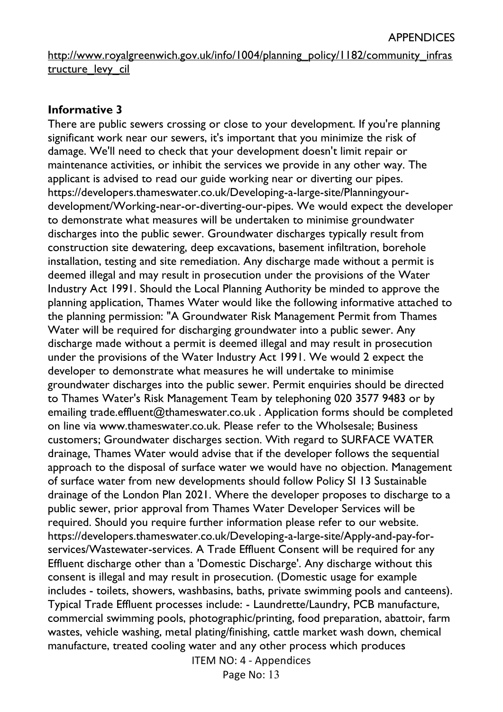http://www.royalgreenwich.gov.uk/info/1004/planning\_policy/1182/community\_infras tructure\_levy\_cil

#### **Informative 3**

ITEM NO: 4 - Appendices There are public sewers crossing or close to your development. If you're planning significant work near our sewers, it's important that you minimize the risk of damage. We'll need to check that your development doesn't limit repair or maintenance activities, or inhibit the services we provide in any other way. The applicant is advised to read our guide working near or diverting our pipes. https://developers.thameswater.co.uk/Developing-a-large-site/Planningyourdevelopment/Working-near-or-diverting-our-pipes. We would expect the developer to demonstrate what measures will be undertaken to minimise groundwater discharges into the public sewer. Groundwater discharges typically result from construction site dewatering, deep excavations, basement infiltration, borehole installation, testing and site remediation. Any discharge made without a permit is deemed illegal and may result in prosecution under the provisions of the Water Industry Act 1991. Should the Local Planning Authority be minded to approve the planning application, Thames Water would like the following informative attached to the planning permission: "A Groundwater Risk Management Permit from Thames Water will be required for discharging groundwater into a public sewer. Any discharge made without a permit is deemed illegal and may result in prosecution under the provisions of the Water Industry Act 1991. We would 2 expect the developer to demonstrate what measures he will undertake to minimise groundwater discharges into the public sewer. Permit enquiries should be directed to Thames Water's Risk Management Team by telephoning 020 3577 9483 or by emailing trade.effluent@thameswater.co.uk . Application forms should be completed on line via www.thameswater.co.uk. Please refer to the Wholsesale; Business customers; Groundwater discharges section. With regard to SURFACE WATER drainage, Thames Water would advise that if the developer follows the sequential approach to the disposal of surface water we would have no objection. Management of surface water from new developments should follow Policy SI 13 Sustainable drainage of the London Plan 2021. Where the developer proposes to discharge to a public sewer, prior approval from Thames Water Developer Services will be required. Should you require further information please refer to our website. https://developers.thameswater.co.uk/Developing-a-large-site/Apply-and-pay-forservices/Wastewater-services. A Trade Effluent Consent will be required for any Effluent discharge other than a 'Domestic Discharge'. Any discharge without this consent is illegal and may result in prosecution. (Domestic usage for example includes - toilets, showers, washbasins, baths, private swimming pools and canteens). Typical Trade Effluent processes include: - Laundrette/Laundry, PCB manufacture, commercial swimming pools, photographic/printing, food preparation, abattoir, farm wastes, vehicle washing, metal plating/finishing, cattle market wash down, chemical manufacture, treated cooling water and any other process which produces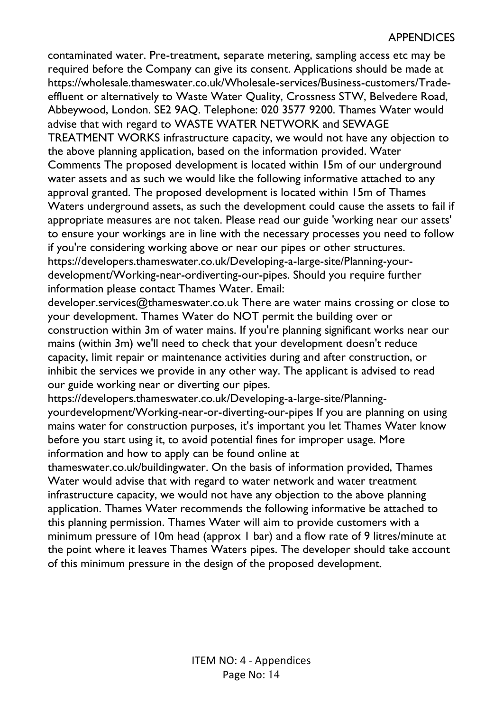contaminated water. Pre-treatment, separate metering, sampling access etc may be required before the Company can give its consent. Applications should be made at https://wholesale.thameswater.co.uk/Wholesale-services/Business-customers/Tradeeffluent or alternatively to Waste Water Quality, Crossness STW, Belvedere Road, Abbeywood, London. SE2 9AQ. Telephone: 020 3577 9200. Thames Water would advise that with regard to WASTE WATER NETWORK and SEWAGE TREATMENT WORKS infrastructure capacity, we would not have any objection to the above planning application, based on the information provided. Water Comments The proposed development is located within 15m of our underground water assets and as such we would like the following informative attached to any approval granted. The proposed development is located within 15m of Thames Waters underground assets, as such the development could cause the assets to fail if appropriate measures are not taken. Please read our guide 'working near our assets' to ensure your workings are in line with the necessary processes you need to follow if you're considering working above or near our pipes or other structures. https://developers.thameswater.co.uk/Developing-a-large-site/Planning-yourdevelopment/Working-near-ordiverting-our-pipes. Should you require further information please contact Thames Water. Email:

developer.services@thameswater.co.uk There are water mains crossing or close to your development. Thames Water do NOT permit the building over or construction within 3m of water mains. If you're planning significant works near our mains (within 3m) we'll need to check that your development doesn't reduce capacity, limit repair or maintenance activities during and after construction, or inhibit the services we provide in any other way. The applicant is advised to read our guide working near or diverting our pipes.

https://developers.thameswater.co.uk/Developing-a-large-site/Planningyourdevelopment/Working-near-or-diverting-our-pipes If you are planning on using mains water for construction purposes, it's important you let Thames Water know before you start using it, to avoid potential fines for improper usage. More information and how to apply can be found online at

thameswater.co.uk/buildingwater. On the basis of information provided, Thames Water would advise that with regard to water network and water treatment infrastructure capacity, we would not have any objection to the above planning application. Thames Water recommends the following informative be attached to this planning permission. Thames Water will aim to provide customers with a minimum pressure of 10m head (approx 1 bar) and a flow rate of 9 litres/minute at the point where it leaves Thames Waters pipes. The developer should take account of this minimum pressure in the design of the proposed development.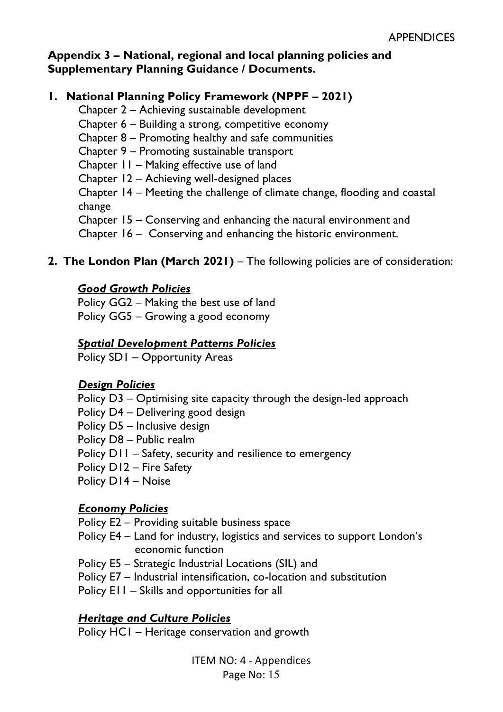### **Appendix 3 – National, regional and local planning policies and Supplementary Planning Guidance / Documents.**

## **1. National Planning Policy Framework (NPPF – 2021)**

Chapter 2 – Achieving sustainable development Chapter 6 – Building a strong, competitive economy Chapter 8 – Promoting healthy and safe communities Chapter 9 – Promoting sustainable transport Chapter 11 – Making effective use of land Chapter 12 – Achieving well-designed places Chapter 14 – Meeting the challenge of climate change, flooding and coastal change Chapter 15 – Conserving and enhancing the natural environment and Chapter 16 – Conserving and enhancing the historic environment.

### **2. The London Plan (March 2021)** – The following policies are of consideration:

#### *Good Growth Policies*

Policy GG2 – Making the best use of land Policy GG5 – Growing a good economy

### *Spatial Development Patterns Policies*

Policy SD1 – Opportunity Areas

#### *Design Policies*

- Policy D3 Optimising site capacity through the design-led approach
- Policy D4 Delivering good design
- Policy D5 Inclusive design
- Policy D8 Public realm
- Policy D11 Safety, security and resilience to emergency
- Policy D12 Fire Safety
- Policy D14 Noise

### *Economy Policies*

Policy E2 – Providing suitable business space

- Policy E4 Land for industry, logistics and services to support London's economic function
- Policy E5 Strategic Industrial Locations (SIL) and
- Policy E7 Industrial intensification, co-location and substitution

Policy E11 – Skills and opportunities for all

### *Heritage and Culture Policies*

Policy HC1 – Heritage conservation and growth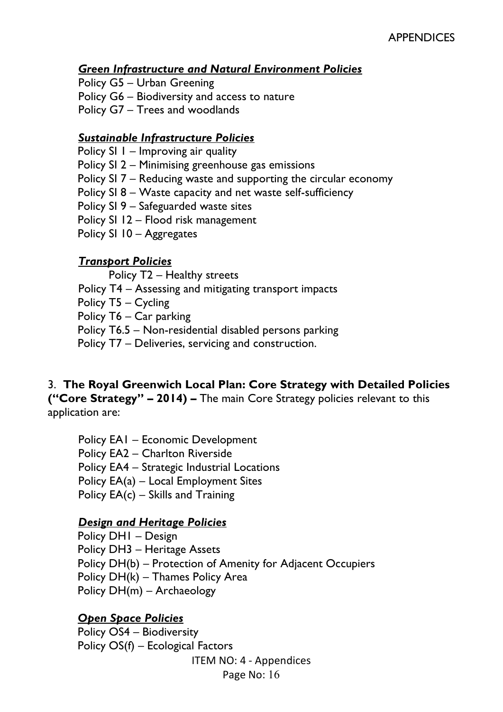#### *Green Infrastructure and Natural Environment Policies*

Policy G5 – Urban Greening

Policy G6 – Biodiversity and access to nature

Policy G7 – Trees and woodlands

### *Sustainable Infrastructure Policies*

Policy SI 1 – Improving air quality

Policy SI 2 – Minimising greenhouse gas emissions

Policy SI 7 – Reducing waste and supporting the circular economy

Policy SI 8 – Waste capacity and net waste self-sufficiency

Policy SI 9 – Safeguarded waste sites

Policy SI 12 – Flood risk management

Policy SI 10 – Aggregates

### *Transport Policies*

Policy T2 – Healthy streets

Policy T4 – Assessing and mitigating transport impacts

Policy T5 – Cycling

Policy T6 – Car parking

Policy T6.5 – Non-residential disabled persons parking

Policy T7 – Deliveries, servicing and construction.

### 3. **The Royal Greenwich Local Plan: Core Strategy with Detailed Policies**

**("Core Strategy" – 2014) –** The main Core Strategy policies relevant to this application are:

Policy EA1 – Economic Development Policy EA2 – Charlton Riverside Policy EA4 – Strategic Industrial Locations Policy EA(a) – Local Employment Sites Policy EA(c) – Skills and Training

### *Design and Heritage Policies*

Policy DH1 – Design Policy DH3 – Heritage Assets Policy DH(b) – Protection of Amenity for Adjacent Occupiers Policy DH(k) – Thames Policy Area Policy DH(m) – Archaeology

## *Open Space Policies*

ITEM NO: 4 - Appendices Policy OS4 – Biodiversity Policy OS(f) – Ecological Factors